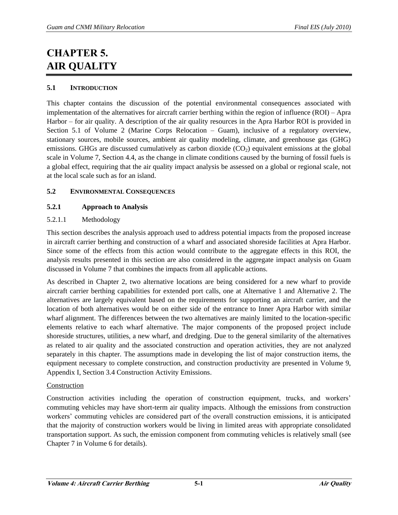# **CHAPTER 5. AIR QUALITY**

# **5.1 INTRODUCTION**

This chapter contains the discussion of the potential environmental consequences associated with implementation of the alternatives for aircraft carrier berthing within the region of influence (ROI) – Apra Harbor – for air quality. A description of the air quality resources in the Apra Harbor ROI is provided in Section 5.1 of Volume 2 (Marine Corps Relocation – Guam), inclusive of a regulatory overview, stationary sources, mobile sources, ambient air quality modeling, climate, and greenhouse gas (GHG) emissions. GHGs are discussed cumulatively as carbon dioxide  $(CO<sub>2</sub>)$  equivalent emissions at the global scale in Volume 7, Section 4.4, as the change in climate conditions caused by the burning of fossil fuels is a global effect, requiring that the air quality impact analysis be assessed on a global or regional scale, not at the local scale such as for an island.

# **5.2 ENVIRONMENTAL CONSEQUENCES**

# **5.2.1 Approach to Analysis**

# 5.2.1.1 Methodology

This section describes the analysis approach used to address potential impacts from the proposed increase in aircraft carrier berthing and construction of a wharf and associated shoreside facilities at Apra Harbor. Since some of the effects from this action would contribute to the aggregate effects in this ROI, the analysis results presented in this section are also considered in the aggregate impact analysis on Guam discussed in Volume 7 that combines the impacts from all applicable actions.

As described in Chapter 2, two alternative locations are being considered for a new wharf to provide aircraft carrier berthing capabilities for extended port calls, one at Alternative 1 and Alternative 2. The alternatives are largely equivalent based on the requirements for supporting an aircraft carrier, and the location of both alternatives would be on either side of the entrance to Inner Apra Harbor with similar wharf alignment. The differences between the two alternatives are mainly limited to the location-specific elements relative to each wharf alternative. The major components of the proposed project include shoreside structures, utilities, a new wharf, and dredging. Due to the general similarity of the alternatives as related to air quality and the associated construction and operation activities, they are not analyzed separately in this chapter. The assumptions made in developing the list of major construction items, the equipment necessary to complete construction, and construction productivity are presented in Volume 9, Appendix I, Section 3.4 Construction Activity Emissions.

# Construction

Construction activities including the operation of construction equipment, trucks, and workers' commuting vehicles may have short-term air quality impacts. Although the emissions from construction workers' commuting vehicles are considered part of the overall construction emissions, it is anticipated that the majority of construction workers would be living in limited areas with appropriate consolidated transportation support. As such, the emission component from commuting vehicles is relatively small (see Chapter 7 in Volume 6 for details).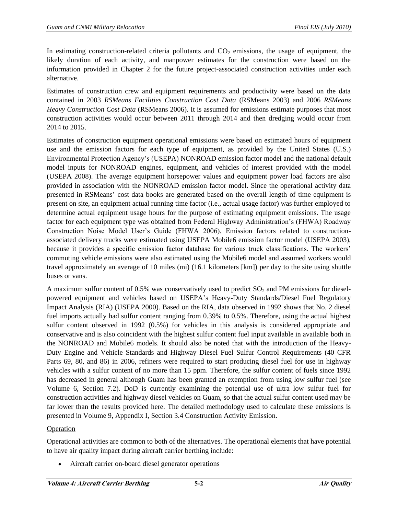In estimating construction-related criteria pollutants and  $CO<sub>2</sub>$  emissions, the usage of equipment, the likely duration of each activity, and manpower estimates for the construction were based on the information provided in Chapter 2 for the future project-associated construction activities under each alternative.

Estimates of construction crew and equipment requirements and productivity were based on the data contained in 2003 *RSMeans Facilities Construction Cost Data* (RSMeans 2003) and 2006 *RSMeans Heavy Construction Cost Data* (RSMeans 2006). It is assumed for emissions estimate purposes that most construction activities would occur between 2011 through 2014 and then dredging would occur from 2014 to 2015.

Estimates of construction equipment operational emissions were based on estimated hours of equipment use and the emission factors for each type of equipment, as provided by the United States (U.S.) Environmental Protection Agency's (USEPA) NONROAD emission factor model and the national default model inputs for NONROAD engines, equipment, and vehicles of interest provided with the model (USEPA 2008). The average equipment horsepower values and equipment power load factors are also provided in association with the NONROAD emission factor model. Since the operational activity data presented in RSMeans' cost data books are generated based on the overall length of time equipment is present on site, an equipment actual running time factor (i.e., actual usage factor) was further employed to determine actual equipment usage hours for the purpose of estimating equipment emissions. The usage factor for each equipment type was obtained from Federal Highway Administration's (FHWA) Roadway Construction Noise Model User's Guide (FHWA 2006). Emission factors related to constructionassociated delivery trucks were estimated using USEPA Mobile6 emission factor model (USEPA 2003), because it provides a specific emission factor database for various truck classifications. The workers' commuting vehicle emissions were also estimated using the Mobile6 model and assumed workers would travel approximately an average of 10 miles (mi) (16.1 kilometers [km]) per day to the site using shuttle buses or vans.

A maximum sulfur content of 0.5% was conservatively used to predict  $SO_2$  and PM emissions for dieselpowered equipment and vehicles based on USEPA's Heavy-Duty Standards/Diesel Fuel Regulatory Impact Analysis (RIA) (USEPA 2000). Based on the RIA, data observed in 1992 shows that No. 2 diesel fuel imports actually had sulfur content ranging from 0.39% to 0.5%. Therefore, using the actual highest sulfur content observed in 1992 (0.5%) for vehicles in this analysis is considered appropriate and conservative and is also coincident with the highest sulfur content fuel input available in available both in the NONROAD and Mobile6 models. It should also be noted that with the introduction of the Heavy-Duty Engine and Vehicle Standards and Highway Diesel Fuel Sulfur Control Requirements (40 CFR Parts 69, 80, and 86) in 2006, refiners were required to start producing diesel fuel for use in highway vehicles with a sulfur content of no more than 15 ppm. Therefore, the sulfur content of fuels since 1992 has decreased in general although Guam has been granted an exemption from using low sulfur fuel (see Volume 6, Section 7.2). DoD is currently examining the potential use of ultra low sulfur fuel for construction activities and highway diesel vehicles on Guam, so that the actual sulfur content used may be far lower than the results provided here. The detailed methodology used to calculate these emissions is presented in Volume 9, Appendix I, Section 3.4 Construction Activity Emission.

# Operation

Operational activities are common to both of the alternatives. The operational elements that have potential to have air quality impact during aircraft carrier berthing include:

Aircraft carrier on-board diesel generator operations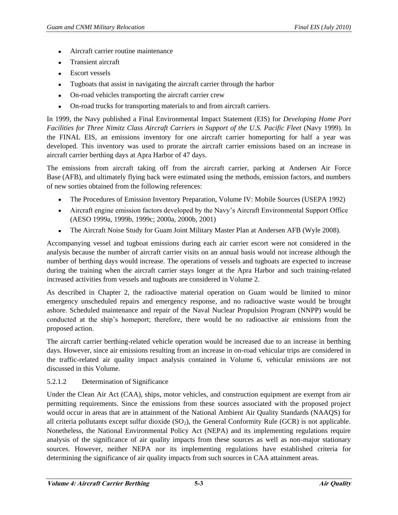- Aircraft carrier routine maintenance  $\bullet$
- Transient aircraft
- Escort vessels  $\bullet$
- Tugboats that assist in navigating the aircraft carrier through the harbor  $\bullet$
- On-road vehicles transporting the aircraft carrier crew
- On-road trucks for transporting materials to and from aircraft carriers.  $\bullet$

In 1999, the Navy published a Final Environmental Impact Statement (EIS) for *Developing Home Port Facilities for Three Nimitz Class Aircraft Carriers in Support of the U.S. Pacific Fleet* (Navy 1999). In the FINAL EIS, an emissions inventory for one aircraft carrier homeporting for half a year was developed. This inventory was used to prorate the aircraft carrier emissions based on an increase in aircraft carrier berthing days at Apra Harbor of 47 days.

The emissions from aircraft taking off from the aircraft carrier, parking at Andersen Air Force Base (AFB), and ultimately flying back were estimated using the methods, emission factors, and numbers of new sorties obtained from the following references:

- The Procedures of Emission Inventory Preparation, Volume IV: Mobile Sources (USEPA 1992)
- Aircraft engine emission factors developed by the Navy's Aircraft Environmental Support Office (AESO 1999a, 1999b, 1999c; 2000a, 2000b, 2001)
- The Aircraft Noise Study for Guam Joint Military Master Plan at Andersen AFB (Wyle 2008).

Accompanying vessel and tugboat emissions during each air carrier escort were not considered in the analysis because the number of aircraft carrier visits on an annual basis would not increase although the number of berthing days would increase. The operations of vessels and tugboats are expected to increase during the training when the aircraft carrier stays longer at the Apra Harbor and such training-related increased activities from vessels and tugboats are considered in Volume 2.

As described in Chapter 2, the radioactive material operation on Guam would be limited to minor emergency unscheduled repairs and emergency response, and no radioactive waste would be brought ashore. Scheduled maintenance and repair of the Naval Nuclear Propulsion Program (NNPP) would be conducted at the ship's homeport; therefore, there would be no radioactive air emissions from the proposed action.

The aircraft carrier berthing-related vehicle operation would be increased due to an increase in berthing days. However, since air emissions resulting from an increase in on-road vehicular trips are considered in the traffic-related air quality impact analysis contained in Volume 6, vehicular emissions are not discussed in this Volume.

# 5.2.1.2 Determination of Significance

Under the Clean Air Act (CAA), ships, motor vehicles, and construction equipment are exempt from air permitting requirements. Since the emissions from these sources associated with the proposed project would occur in areas that are in attainment of the National Ambient Air Quality Standards (NAAQS) for all criteria pollutants except sulfur dioxide  $(SO<sub>2</sub>)$ , the General Conformity Rule  $(GCR)$  is not applicable. Nonetheless, the National Environmental Policy Act (NEPA) and its implementing regulations require analysis of the significance of air quality impacts from these sources as well as non-major stationary sources. However, neither NEPA nor its implementing regulations have established criteria for determining the significance of air quality impacts from such sources in CAA attainment areas.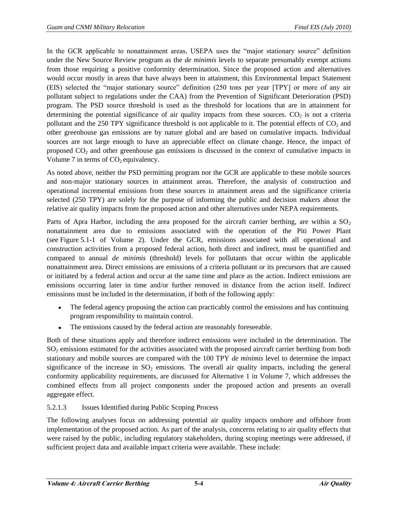In the GCR applicable to nonattainment areas, USEPA uses the "major stationary source" definition under the New Source Review program as the *de minimis* levels to separate presumably exempt actions from those requiring a positive conformity determination. Since the proposed action and alternatives would occur mostly in areas that have always been in attainment, this Environmental Impact Statement (EIS) selected the "major stationary source" definition (250 tons per year [TPY] or more of any air pollutant subject to regulations under the CAA) from the Prevention of Significant Deterioration (PSD) program. The PSD source threshold is used as the threshold for locations that are in attainment for determining the potential significance of air quality impacts from these sources.  $CO<sub>2</sub>$  is not a criteria pollutant and the 250 TPY significance threshold is not applicable to it. The potential effects of  $CO<sub>2</sub>$  and other greenhouse gas emissions are by nature global and are based on cumulative impacts. Individual sources are not large enough to have an appreciable effect on climate change. Hence, the impact of proposed CO2 and other greenhouse gas emissions is discussed in the context of cumulative impacts in Volume 7 in terms of  $CO<sub>2</sub>$  equivalency.

As noted above, neither the PSD permitting program nor the GCR are applicable to these mobile sources and non-major stationary sources in attainment areas. Therefore, the analysis of construction and operational incremental emissions from these sources in attainment areas and the significance criteria selected (250 TPY) are solely for the purpose of informing the public and decision makers about the relative air quality impacts from the proposed action and other alternatives under NEPA requirements.

Parts of Apra Harbor, including the area proposed for the aircraft carrier berthing, are within a  $SO<sub>2</sub>$ nonattainment area due to emissions associated with the operation of the Piti Power Plant (see Figure 5.1-1 of Volume 2). Under the GCR, emissions associated with all operational and construction activities from a proposed federal action, both direct and indirect, must be quantified and compared to annual *de minimis* (threshold) levels for pollutants that occur within the applicable nonattainment area. Direct emissions are emissions of a criteria pollutant or its precursors that are caused or initiated by a federal action and occur at the same time and place as the action. Indirect emissions are emissions occurring later in time and/or further removed in distance from the action itself. Indirect emissions must be included in the determination, if both of the following apply:

- The federal agency proposing the action can practicably control the emissions and has continuing program responsibility to maintain control.
- The emissions caused by the federal action are reasonably foreseeable.

Both of these situations apply and therefore indirect emissions were included in the determination. The SO2 emissions estimated for the activities associated with the proposed aircraft carrier berthing from both stationary and mobile sources are compared with the 100 TPY *de minimis* level to determine the impact significance of the increase in  $SO_2$  emissions. The overall air quality impacts, including the general conformity applicability requirements, are discussed for Alternative 1 in Volume 7, which addresses the combined effects from all project components under the proposed action and presents an overall aggregate effect.

# 5.2.1.3 Issues Identified during Public Scoping Process

The following analyses focus on addressing potential air quality impacts onshore and offshore from implementation of the proposed action. As part of the analysis, concerns relating to air quality effects that were raised by the public, including regulatory stakeholders, during scoping meetings were addressed, if sufficient project data and available impact criteria were available. These include: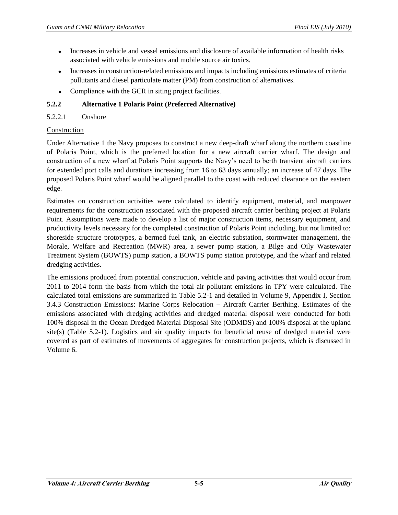- Increases in vehicle and vessel emissions and disclosure of available information of health risks  $\bullet$ associated with vehicle emissions and mobile source air toxics.
- Increases in construction-related emissions and impacts including emissions estimates of criteria  $\bullet$ pollutants and diesel particulate matter (PM) from construction of alternatives.
- Compliance with the GCR in siting project facilities.  $\bullet$

# **5.2.2 Alternative 1 Polaris Point (Preferred Alternative)**

## 5.2.2.1 Onshore

## Construction

Under Alternative 1 the Navy proposes to construct a new deep-draft wharf along the northern coastline of Polaris Point, which is the preferred location for a new aircraft carrier wharf. The design and construction of a new wharf at Polaris Point supports the Navy's need to berth transient aircraft carriers for extended port calls and durations increasing from 16 to 63 days annually; an increase of 47 days. The proposed Polaris Point wharf would be aligned parallel to the coast with reduced clearance on the eastern edge.

Estimates on construction activities were calculated to identify equipment, material, and manpower requirements for the construction associated with the proposed aircraft carrier berthing project at Polaris Point. Assumptions were made to develop a list of major construction items, necessary equipment, and productivity levels necessary for the completed construction of Polaris Point including, but not limited to: shoreside structure prototypes, a bermed fuel tank, an electric substation, stormwater management, the Morale, Welfare and Recreation (MWR) area, a sewer pump station, a Bilge and Oily Wastewater Treatment System (BOWTS) pump station, a BOWTS pump station prototype, and the wharf and related dredging activities.

The emissions produced from potential construction, vehicle and paving activities that would occur from 2011 to 2014 form the basis from which the total air pollutant emissions in TPY were calculated. The calculated total emissions are summarized in Table 5.2-1 and detailed in Volume 9, Appendix I, Section 3.4.3 Construction Emissions: Marine Corps Relocation – Aircraft Carrier Berthing. Estimates of the emissions associated with dredging activities and dredged material disposal were conducted for both 100% disposal in the Ocean Dredged Material Disposal Site (ODMDS) and 100% disposal at the upland site(s) (Table 5.2-1). Logistics and air quality impacts for beneficial reuse of dredged material were covered as part of estimates of movements of aggregates for construction projects, which is discussed in Volume 6.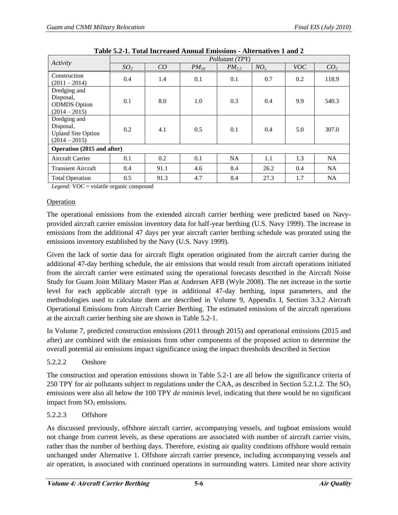|                                                                           | Pollutant (TPY) |      |           |            |          |            |                 |
|---------------------------------------------------------------------------|-----------------|------|-----------|------------|----------|------------|-----------------|
| Activity                                                                  | SO <sub>2</sub> | CO   | $PM_{10}$ | $PM_{2.5}$ | $NO_{x}$ | <b>VOC</b> | CO <sub>2</sub> |
| Construction<br>$(2011 - 2014)$                                           | 0.4             | 1.4  | 0.1       | 0.1        | 0.7      | 0.2        | 118.9           |
| Dredging and<br>Disposal,<br><b>ODMDS</b> Option<br>$(2014 - 2015)$       | 0.1             | 8.0  | 1.0       | 0.3        | 0.4      | 9.9        | 540.3           |
| Dredging and<br>Disposal,<br><b>Upland Site Option</b><br>$(2014 - 2015)$ | 0.2             | 4.1  | 0.5       | 0.1        | 0.4      | 5.0        | 307.0           |
| Operation (2015 and after)                                                |                 |      |           |            |          |            |                 |
| <b>Aircraft Carrier</b>                                                   | 0.1             | 0.2  | 0.1       | NA         | 1.1      | 1.3        | <b>NA</b>       |
| <b>Transient Aircraft</b>                                                 | 0.4             | 91.1 | 4.6       | 8.4        | 26.2     | 0.4        | <b>NA</b>       |
| <b>Total Operation</b>                                                    | 0.5             | 91.3 | 4.7       | 8.4        | 27.3     | 1.7        | <b>NA</b>       |

**Table 5.2-1. Total Increased Annual Emissions - Alternatives 1 and 2** 

*Legend:* VOC = volatile organic compound

#### Operation

The operational emissions from the extended aircraft carrier berthing were predicted based on Navyprovided aircraft carrier emission inventory data for half-year berthing (U.S. Navy 1999). The increase in emissions from the additional 47 days per year aircraft carrier berthing schedule was prorated using the emissions inventory established by the Navy (U.S. Navy 1999).

Given the lack of sortie data for aircraft flight operation originated from the aircraft carrier during the additional 47-day berthing schedule, the air emissions that would result from aircraft operations initiated from the aircraft carrier were estimated using the operational forecasts described in the Aircraft Noise Study for Guam Joint Military Master Plan at Andersen AFB (Wyle 2008). The net increase in the sortie level for each applicable aircraft type in additional 47-day berthing, input parameters, and the methodologies used to calculate them are described in Volume 9, Appendix I, Section 3.3.2 Aircraft Operational Emissions from Aircraft Carrier Berthing. The estimated emissions of the aircraft operations at the aircraft carrier berthing site are shown in Table 5.2-1.

In Volume 7, predicted construction emissions (2011 through 2015) and operational emissions (2015 and after) are combined with the emissions from other components of the proposed action to determine the overall potential air emissions impact significance using the impact thresholds described in Section

#### 5.2.2.2 Onshore

The construction and operation emissions shown in Table 5.2-1 are all below the significance criteria of 250 TPY for air pollutants subject to regulations under the CAA, as described in Section 5.2.1.2. The  $SO<sub>2</sub>$ emissions were also all below the 100 TPY *de minimis* level, indicating that there would be no significant impact from  $SO<sub>2</sub>$  emissions.

#### 5.2.2.3 Offshore

As discussed previously, offshore aircraft carrier, accompanying vessels, and tugboat emissions would not change from current levels, as these operations are associated with number of aircraft carrier visits, rather than the number of berthing days. Therefore, existing air quality conditions offshore would remain unchanged under Alternative 1. Offshore aircraft carrier presence, including accompanying vessels and air operation, is associated with continued operations in surrounding waters. Limited near shore activity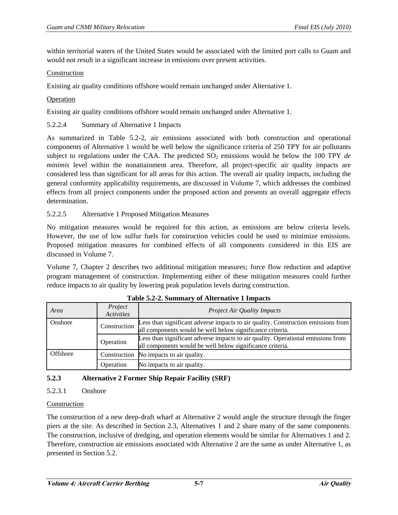within territorial waters of the United States would be associated with the limited port calls to Guam and would not result in a significant increase in emissions over present activities.

## Construction

Existing air quality conditions offshore would remain unchanged under Alternative 1.

## Operation

Existing air quality conditions offshore would remain unchanged under Alternative 1.

### 5.2.2.4 Summary of Alternative 1 Impacts

As summarized in Table 5.2-2, air emissions associated with both construction and operational components of Alternative 1 would be well below the significance criteria of 250 TPY for air pollutants subject to regulations under the CAA. The predicted  $SO_2$  emissions would be below the 100 TPY *de minimis* level within the nonattainment area. Therefore, all project-specific air quality impacts are considered less than significant for all areas for this action. The overall air quality impacts, including the general conformity applicability requirements, are discussed in Volume 7, which addresses the combined effects from all project components under the proposed action and presents an overall aggregate effects determination.

## 5.2.2.5 Alternative 1 Proposed Mitigation Measures

No mitigation measures would be required for this action, as emissions are below criteria levels. However, the use of low sulfur fuels for construction vehicles could be used to minimize emissions. Proposed mitigation measures for combined effects of all components considered in this EIS are discussed in Volume 7.

Volume 7, Chapter 2 describes two additional mitigation measures; force flow reduction and adaptive program management of construction. Implementing either of these mitigation measures could further reduce impacts to air quality by lowering peak population levels during construction.

| Area     | Project<br>Activities | <b>Project Air Quality Impacts</b>                                                                                                             |
|----------|-----------------------|------------------------------------------------------------------------------------------------------------------------------------------------|
| Onshore  | Construction          | Less than significant adverse impacts to air quality. Construction emissions from<br>all components would be well below significance criteria. |
|          | Operation             | Less than significant adverse impacts to air quality. Operational emissions from<br>all components would be well below significance criteria.  |
| Offshore |                       | Construction No impacts to air quality.                                                                                                        |
|          | Operation             | No impacts to air quality.                                                                                                                     |

| Table 5.2-2. Summary of Alternative 1 Impacts |  |
|-----------------------------------------------|--|
|-----------------------------------------------|--|

# **5.2.3 Alternative 2 Former Ship Repair Facility (SRF)**

# 5.2.3.1 Onshore

# Construction

The construction of a new deep-draft wharf at Alternative 2 would angle the structure through the finger piers at the site. As described in Section 2.3, Alternatives 1 and 2 share many of the same components. The construction, inclusive of dredging, and operation elements would be similar for Alternatives 1 and 2. Therefore, construction air emissions associated with Alternative 2 are the same as under Alternative 1, as presented in Section 5.2.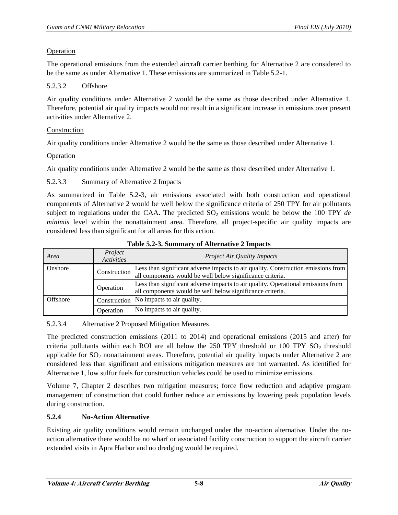## Operation

The operational emissions from the extended aircraft carrier berthing for Alternative 2 are considered to be the same as under Alternative 1. These emissions are summarized in Table 5.2-1.

## 5.2.3.2 Offshore

Air quality conditions under Alternative 2 would be the same as those described under Alternative 1. Therefore, potential air quality impacts would not result in a significant increase in emissions over present activities under Alternative 2.

## Construction

Air quality conditions under Alternative 2 would be the same as those described under Alternative 1.

## Operation

Air quality conditions under Alternative 2 would be the same as those described under Alternative 1.

## 5.2.3.3 Summary of Alternative 2 Impacts

As summarized in Table 5.2-3, air emissions associated with both construction and operational components of Alternative 2 would be well below the significance criteria of 250 TPY for air pollutants subject to regulations under the CAA. The predicted  $SO_2$  emissions would be below the 100 TPY *de minimis* level within the nonattainment area. Therefore, all project-specific air quality impacts are considered less than significant for all areas for this action.

| Area     | Project<br><b>Activities</b> | <b>Project Air Quality Impacts</b>                                                                                                             |  |
|----------|------------------------------|------------------------------------------------------------------------------------------------------------------------------------------------|--|
| Onshore  | Construction                 | Less than significant adverse impacts to air quality. Construction emissions from<br>all components would be well below significance criteria. |  |
|          | Operation                    | Less than significant adverse impacts to air quality. Operational emissions from<br>all components would be well below significance criteria.  |  |
| Offshore | Construction                 | No impacts to air quality.                                                                                                                     |  |
|          | Operation                    | No impacts to air quality.                                                                                                                     |  |

#### **Table 5.2-3. Summary of Alternative 2 Impacts**

# 5.2.3.4 Alternative 2 Proposed Mitigation Measures

The predicted construction emissions (2011 to 2014) and operational emissions (2015 and after) for criteria pollutants within each ROI are all below the 250 TPY threshold or 100 TPY  $SO_2$  threshold applicable for  $SO_2$  nonattainment areas. Therefore, potential air quality impacts under Alternative 2 are considered less than significant and emissions mitigation measures are not warranted. As identified for Alternative 1, low sulfur fuels for construction vehicles could be used to minimize emissions.

Volume 7, Chapter 2 describes two mitigation measures; force flow reduction and adaptive program management of construction that could further reduce air emissions by lowering peak population levels during construction.

# **5.2.4 No-Action Alternative**

Existing air quality conditions would remain unchanged under the no-action alternative. Under the noaction alternative there would be no wharf or associated facility construction to support the aircraft carrier extended visits in Apra Harbor and no dredging would be required.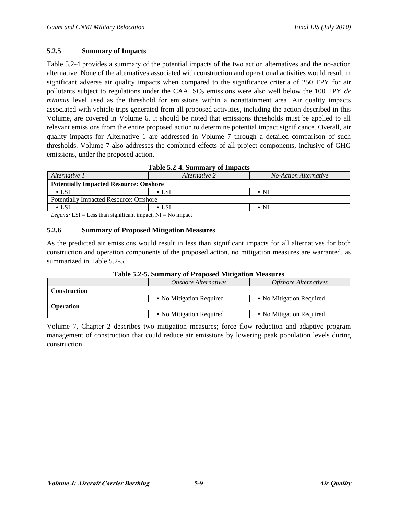### **5.2.5 Summary of Impacts**

Table 5.2-4 provides a summary of the potential impacts of the two action alternatives and the no-action alternative. None of the alternatives associated with construction and operational activities would result in significant adverse air quality impacts when compared to the significance criteria of 250 TPY for air pollutants subject to regulations under the CAA. SO<sub>2</sub> emissions were also well below the 100 TPY *de minimis* level used as the threshold for emissions within a nonattainment area. Air quality impacts associated with vehicle trips generated from all proposed activities, including the action described in this Volume, are covered in Volume 6. It should be noted that emissions thresholds must be applied to all relevant emissions from the entire proposed action to determine potential impact significance. Overall, air quality impacts for Alternative 1 are addressed in Volume 7 through a detailed comparison of such thresholds. Volume 7 also addresses the combined effects of all project components, inclusive of GHG emissions, under the proposed action.

| Table 5.2-4. Summary of Impacts                                                   |                                        |                         |  |  |
|-----------------------------------------------------------------------------------|----------------------------------------|-------------------------|--|--|
| Alternative 1                                                                     | No-Action Alternative<br>Alternative 2 |                         |  |  |
| <b>Potentially Impacted Resource: Onshore</b>                                     |                                        |                         |  |  |
| $\cdot$ LSI                                                                       | $\cdot$ LSI                            | $\boldsymbol{\cdot}$ NI |  |  |
| <b>Potentially Impacted Resource: Offshore</b>                                    |                                        |                         |  |  |
| $\cdot$ LSI                                                                       | $\cdot$ LSI                            | $\cdot$ NI              |  |  |
| $\sim$ $\sim$ $\sim$ $\sim$ $\sim$ $\sim$<br>1 T T T<br>$\mathbf{M}$<br>$\cdot$ 1 |                                        |                         |  |  |

*Legend:* LSI = Less than significant impact, NI = No impact

#### **5.2.6 Summary of Proposed Mitigation Measures**

As the predicted air emissions would result in less than significant impacts for all alternatives for both construction and operation components of the proposed action, no mitigation measures are warranted, as summarized in Table 5.2-5.

| Table 5.2-5. Building y of 1 roposed mitigation measures |                             |                                     |  |
|----------------------------------------------------------|-----------------------------|-------------------------------------|--|
|                                                          | <b>Onshore Alternatives</b> | <i><b>Offshore Alternatives</b></i> |  |
| <b>Construction</b>                                      |                             |                                     |  |
|                                                          | • No Mitigation Required    | • No Mitigation Required            |  |
| <b>Operation</b>                                         |                             |                                     |  |
|                                                          | • No Mitigation Required    | • No Mitigation Required            |  |

#### **Table 5.2-5. Summary of Proposed Mitigation Measures**

Volume 7, Chapter 2 describes two mitigation measures; force flow reduction and adaptive program management of construction that could reduce air emissions by lowering peak population levels during construction.